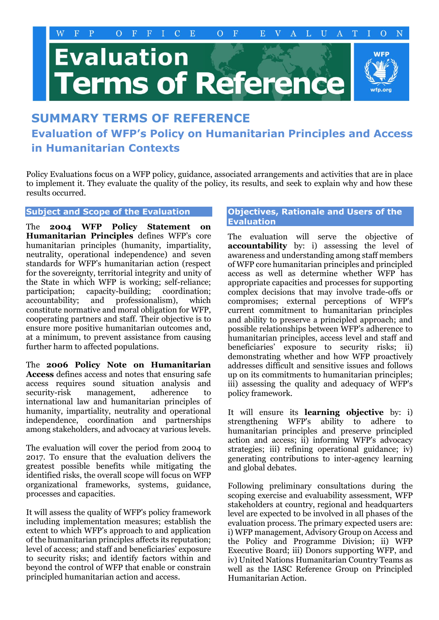# **Evaluation** erms of Reference



## **SUMMARY TERMS OF REFERENCE**

**Evaluation of WFP's Policy on Humanitarian Principles and Access in Humanitarian Contexts**

Policy Evaluations focus on a WFP policy, guidance, associated arrangements and activities that are in place to implement it. They evaluate the quality of the policy, its results, and seek to explain why and how these results occurred.

#### **Subject and Scope of the Evaluation**

The **2004 WFP Policy Statement on Humanitarian Principles** defines WFP's core humanitarian principles (humanity, impartiality, neutrality, operational independence) and seven standards for WFP's humanitarian action (respect for the sovereignty, territorial integrity and unity of the State in which WFP is working; self-reliance; participation; capacity-building; coordination; accountability; and professionalism), which constitute normative and moral obligation for WFP, cooperating partners and staff. Their objective is to ensure more positive humanitarian outcomes and, at a minimum, to prevent assistance from causing further harm to affected populations.

The **2006 Policy Note on Humanitarian Access** defines access and notes that ensuring safe access requires sound situation analysis and security-risk management, adherence to international law and humanitarian principles of humanity, impartiality, neutrality and operational independence, coordination and partnerships among stakeholders, and advocacy at various levels.

The evaluation will cover the period from 2004 to 2017. To ensure that the evaluation delivers the greatest possible benefits while mitigating the identified risks, the overall scope will focus on WFP organizational frameworks, systems, guidance, processes and capacities.

It will assess the quality of WFP's policy framework including implementation measures; establish the extent to which WFP's approach to and application of the humanitarian principles affects its reputation; level of access; and staff and beneficiaries' exposure to security risks; and identify factors within and beyond the control of WFP that enable or constrain principled humanitarian action and access.

#### **Objectives, Rationale and Users of the Evaluation**

The evaluation will serve the objective of **accountability** by: i) assessing the level of awareness and understanding among staff members of WFP core humanitarian principles and principled access as well as determine whether WFP has appropriate capacities and processes for supporting complex decisions that may involve trade-offs or compromises; external perceptions of WFP's current commitment to humanitarian principles and ability to preserve a principled approach; and possible relationships between WFP's adherence to humanitarian principles, access level and staff and beneficiaries' exposure to security risks; ii) demonstrating whether and how WFP proactively addresses difficult and sensitive issues and follows up on its commitments to humanitarian principles; iii) assessing the quality and adequacy of WFP's policy framework.

It will ensure its **learning objective** by: i) strengthening WFP's ability to adhere to humanitarian principles and preserve principled action and access; ii) informing WFP's advocacy strategies; iii) refining operational guidance; iv) generating contributions to inter-agency learning and global debates.

Following preliminary consultations during the scoping exercise and evaluability assessment, WFP stakeholders at country, regional and headquarters level are expected to be involved in all phases of the evaluation process. The primary expected users are: i) WFP management, Advisory Group on Access and the Policy and Programme Division; ii) WFP Executive Board; iii) Donors supporting WFP, and iv) United Nations Humanitarian Country Teams as well as the IASC Reference Group on Principled Humanitarian Action.